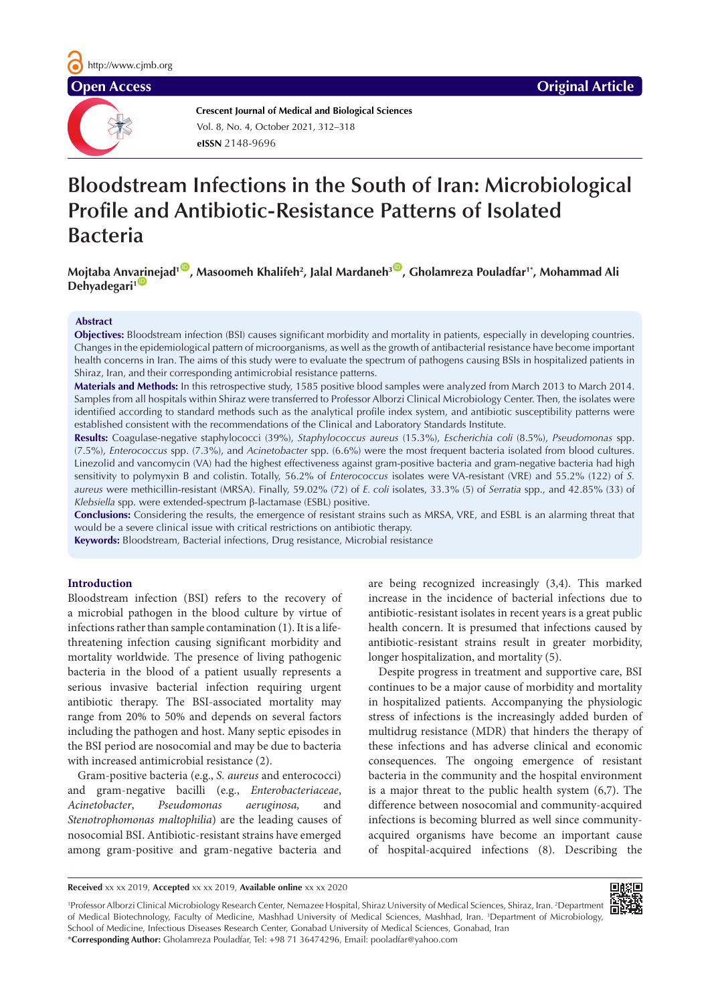

**Crescent Journal of Medical and Biological Sciences eISSN** 2148-9696 Vol. 8, No. 4, October 2021, 312–318

# **Bloodstream Infections in the South of Iran: Microbiological Profile and Antibiotic-Resistance Patterns of Isolated Bacteria**

**Mojtaba Anv[arin](https://orcid.org/0000-0002-8154-5592)ejad1** [ID](https://orcid.org/0000-0003-1463-3303) **, Masoomeh Khalifeh2 , Jalal Mardaneh3** [ID](https://orcid.org/0000-0001-9010-2518) **, Gholamreza Pouladfar1\*, Mohammad Ali Dehyadegari<sup>1</sup>** 

# **Abstract**

**Objectives:** Bloodstream infection (BSI) causes significant morbidity and mortality in patients, especially in developing countries. Changes in the epidemiological pattern of microorganisms, as well as the growth of antibacterial resistance have become important health concerns in Iran. The aims of this study were to evaluate the spectrum of pathogens causing BSIs in hospitalized patients in Shiraz, Iran, and their corresponding antimicrobial resistance patterns.

**Materials and Methods:** In this retrospective study, 1585 positive blood samples were analyzed from March 2013 to March 2014. Samples from all hospitals within Shiraz were transferred to Professor Alborzi Clinical Microbiology Center. Then, the isolates were identified according to standard methods such as the analytical profile index system, and antibiotic susceptibility patterns were established consistent with the recommendations of the Clinical and Laboratory Standards Institute.

**Results:** Coagulase-negative staphylococci (39%), *Staphylococcus aureus* (15.3%), *Escherichia coli* (8.5%), *Pseudomonas* spp. (7.5%), *Enterococcus* spp. (7.3%), and *Acinetobacter* spp. (6.6%) were the most frequent bacteria isolated from blood cultures. Linezolid and vancomycin (VA) had the highest effectiveness against gram-positive bacteria and gram-negative bacteria had high sensitivity to polymyxin B and colistin. Totally, 56.2% of *Enterococcus* [isolates were VA-resistant \(VRE\) and](http://cid.oxfordjournals.org/content/32/Supplement_2/S146.short) 55.2% (122) of *S. aureus* were methicillin-resistant (MRSA). Finally, 59.02% (72) of *E. coli* isolates, 33.3% (5) of *Serratia* spp., and 42.85% (33) of *Klebsiella* spp. were extended-spectrum β-lactamase (ESBL) positive.

**Conclusions:** Considering the results, the emergence of resistant strains such as MRSA, VRE, and ESBL is an alarming threat that would be a severe clinical issue with critical restrictions on antibiotic therapy.

**Keywords:** Bloodstream, Bacterial infections, Drug resistance, Microbial resistance

# **Introduction**

Bloodstream infection (BSI) refers to the recovery of a microbial pathogen in the blood culture by virtue of infections rather than sample contamination (1). It is a lifethreatening infection causing significant morbidity and mortality worldwide. The presence of living pathogenic bacteria in the blood of a patient usually represents a serious invasive bacterial infection requiring urgent antibiotic therapy. The BSI-associated mortality may range from 20% to 50% and depends on several factors including the pathogen and host. Many septic episodes in the BSI period are nosocomial and may be due to bacteria with increased antimicrobial resistance (2).

Gram-positive bacteria (e.g., *S. aureus* and enterococci) and gram-negative bacilli (e.g., *Enterobacteriaceae*, *Acinetobacter*, *Pseudomonas aeruginosa,* and *Stenotrophomonas maltophilia*) are the leading causes of nosocomial BSI. Antibiotic-resistant strains have emerged among gram-positive and gram-negative bacteria and are being recognized increasingly (3,4). This marked increase in the incidence of bacterial infections due to antibiotic-resistant isolates in recent years is a great public health concern. It is presumed that infections caused by antibiotic-resistant strains result in greater morbidity, longer hospitalization, and mortality (5).

Despite progress in treatment and supportive care, BSI continues to be a major cause of morbidity and mortality in hospitalized patients. Accompanying the physiologic stress of infections is the increasingly added burden of multidrug resistance (MDR) that hinders the therapy of these infections and has adverse clinical and economic consequences. The ongoing emergence of resistant bacteria in the community and the hospital environment is a major threat to the public health system (6,7). The difference between nosocomial and community-acquired infections is becoming blurred as well since communityacquired organisms have become an important cause of hospital-acquired infections (8). Describing the

**Received** xx xx 2019, **Accepted** xx xx 2019, **Available online** xx xx 2020

<sup>1</sup>Professor Alborzi Clinical Microbiology Research Center, Nemazee Hospital, Shiraz University of Medical Sciences, Shiraz, Iran. <sup>2</sup>Department of Medical Biotechnology, Faculty of Medicine, Mashhad University of Medical Sciences, Mashhad, Iran. <sup>3</sup>Department of Microbiology, School of Medicine, Infectious Diseases Research Center, Gonabad University of Medical Sciences, Gonabad, Iran \***Corresponding Author:** Gholamreza Pouladfar, Tel: +98 71 36474296, Email: pooladfar@yahoo.com

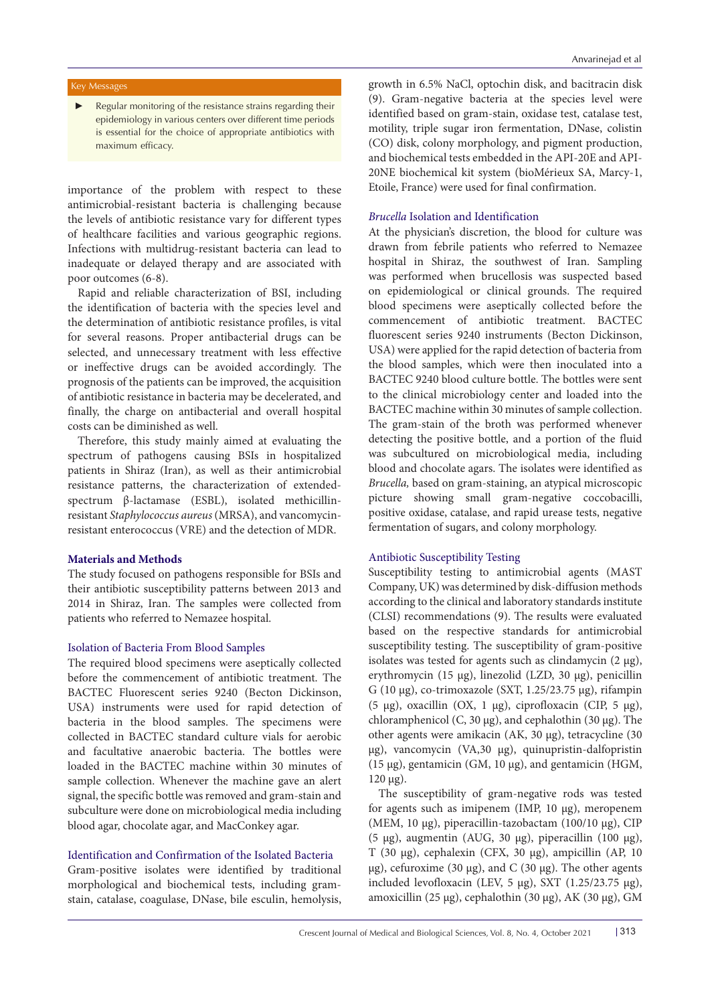# Key Messages

Regular monitoring of the resistance strains regarding their epidemiology in various centers over different time periods is essential for the choice of appropriate antibiotics with maximum efficacy.

importance of the problem with respect to these antimicrobial-resistant bacteria is challenging because the levels of antibiotic resistance vary for different types of healthcare facilities and various geographic regions. Infections with multidrug-resistant bacteria can lead to inadequate or delayed therapy and are associated with poor outcomes (6-8).

Rapid and reliable characterization of BSI, including the identification of bacteria with the species level and the determination of antibiotic resistance profiles, is vital for several reasons. Proper antibacterial drugs can be selected, and unnecessary treatment with less effective or ineffective drugs can be avoided accordingly. The prognosis of the patients can be improved, the acquisition of antibiotic resistance in bacteria may be decelerated, and finally, the charge on antibacterial and overall hospital costs can be diminished as well.

Therefore, this study mainly aimed at evaluating the spectrum of pathogens causing BSIs in hospitalized patients in Shiraz (Iran), as well as their antimicrobial resistance patterns, the characterization of extendedspectrum β-lactamase (ESBL), isolated methicillinresistant *Staphylococcus aureus* (MRSA), and vancomycinresistant enterococcus (VRE) and the detection of MDR.

# **Materials and Methods**

The study focused on pathogens responsible for BSIs and their antibiotic susceptibility patterns between 2013 and 2014 in Shiraz, Iran. The samples were collected from patients who referred to Nemazee hospital.

#### Isolation of Bacteria From Blood Samples

The required blood specimens were aseptically collected before the commencement of antibiotic treatment. The BACTEC Fluorescent series 9240 (Becton Dickinson, USA) instruments were used for rapid detection of bacteria in the blood samples. The specimens were collected in BACTEC standard culture vials for aerobic and facultative anaerobic bacteria. The bottles were loaded in the BACTEC machine within 30 minutes of sample collection. Whenever the machine gave an alert signal, the specific bottle was removed and gram-stain and subculture were done on microbiological media including blood agar, chocolate agar, and MacConkey agar.

# Identification and Confirmation of the Isolated Bacteria

Gram-positive isolates were identified by traditional morphological and biochemical tests, including gramstain, catalase, coagulase, DNase, bile esculin, hemolysis,

growth in 6.5% NaCl, optochin disk, and bacitracin disk (9). Gram-negative bacteria at the species level were identified based on gram-stain, oxidase test, catalase test, motility, triple sugar iron fermentation, DNase, colistin (CO) disk, colony morphology, and pigment production, and biochemical tests embedded in the API-20E and API-20NE biochemical kit system (bioMérieux SA, Marcy-1,

#### *Brucella* Isolation and Identification

Etoile, France) were used for final confirmation.

At the physician's discretion, the blood for culture was drawn from febrile patients who referred to Nemazee hospital in Shiraz, the southwest of Iran. Sampling was performed when brucellosis was suspected based on epidemiological or clinical grounds. The required blood specimens were aseptically collected before the commencement of antibiotic treatment. BACTEC fluorescent series 9240 instruments (Becton Dickinson, USA) were applied for the rapid detection of bacteria from the blood samples, which were then inoculated into a BACTEC 9240 blood culture bottle. The bottles were sent to the clinical microbiology center and loaded into the BACTEC machine within 30 minutes of sample collection. The gram-stain of the broth was performed whenever detecting the positive bottle, and a portion of the fluid was subcultured on microbiological media, including blood and chocolate agars. The isolates were identified as *Brucella,* based on gram-staining, an atypical microscopic picture showing small gram-negative coccobacilli, positive oxidase, catalase, and rapid urease tests, negative fermentation of sugars, and colony morphology.

# Antibiotic Susceptibility Testing

Susceptibility testing to antimicrobial agents (MAST Company, UK) was determined by disk-diffusion methods according to the clinical and laboratory standards institute (CLSI) recommendations (9). The results were evaluated based on the respective standards for antimicrobial susceptibility testing. The susceptibility of gram-positive isolates was tested for agents such as clindamycin (2 μg), erythromycin (15 μg), linezolid (LZD, 30 μg), penicillin G (10 μg), co-trimoxazole (SXT, 1.25/23.75 μg), rifampin (5 μg), oxacillin (OX, 1 μg), ciprofloxacin (CIP, 5 μg), chloramphenicol (C, 30 μg), and cephalothin (30 μg). The other agents were amikacin (AK, 30 μg), tetracycline (30 μg), vancomycin (VA,30 μg), quinupristin-dalfopristin (15 μg), gentamicin (GM, 10 μg), and gentamicin (HGM, 120 μg).

The susceptibility of gram-negative rods was tested for agents such as imipenem (IMP, 10 μg), meropenem (MEM, 10 μg), piperacillin-tazobactam (100/10 μg), CIP (5 μg), augmentin (AUG, 30 μg), piperacillin (100 μg), T (30 μg), cephalexin (CFX, 30 μg), ampicillin (AP, 10 μg), cefuroxime (30 μg), and C (30 μg). The other agents included levofloxacin (LEV, 5 μg), SXT (1.25/23.75 μg), amoxicillin (25 μg), cephalothin (30 μg), AK (30 μg), GM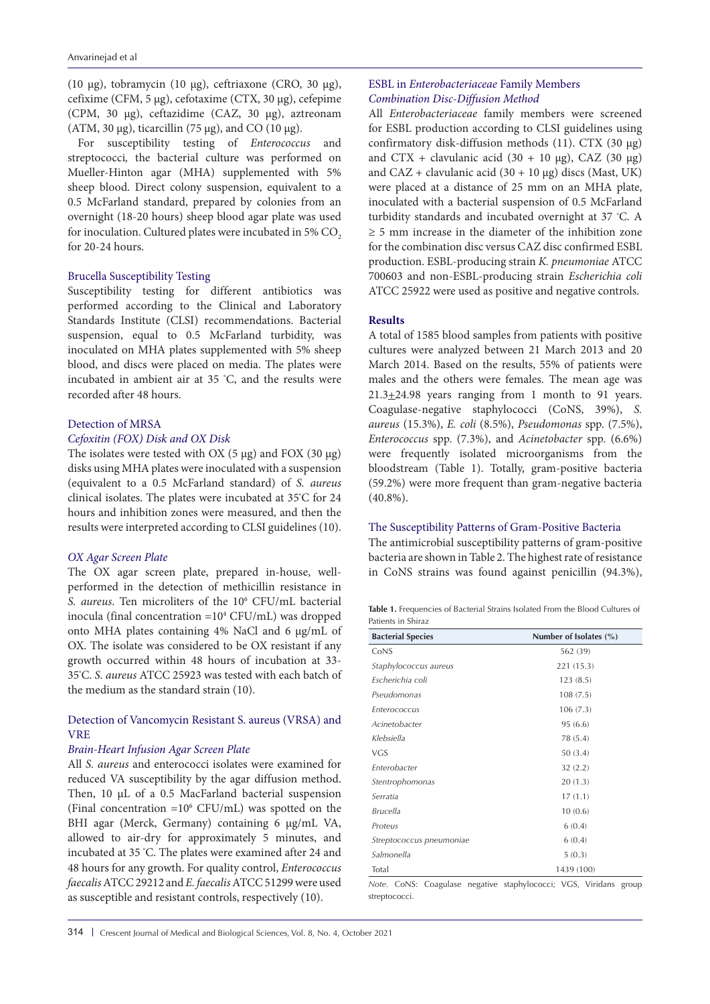(10 μg), tobramycin (10 μg), ceftriaxone (CRO, 30 μg), cefixime (CFM, 5 μg), cefotaxime (CTX, 30 μg), cefepime (CPM, 30 μg), ceftazidime (CAZ, 30 μg), aztreonam (ATM, 30 μg), ticarcillin (75 μg), and CO (10 μg).

For susceptibility testing of *Enterococcus* and streptococci*,* the bacterial culture was performed on Mueller-Hinton agar (MHA) supplemented with 5% sheep blood. Direct colony suspension, equivalent to a 0.5 McFarland standard, prepared by colonies from an overnight (18-20 hours) sheep blood agar plate was used for inoculation. Cultured plates were incubated in 5% CO<sub>2</sub> for 20-24 hours.

# Brucella Susceptibility Testing

Susceptibility testing for different antibiotics was performed according to the Clinical and Laboratory Standards Institute (CLSI) recommendations. Bacterial suspension, equal to 0.5 McFarland turbidity, was inoculated on MHA plates supplemented with 5% sheep blood, and discs were placed on media. The plates were incubated in ambient air at 35 ° C, and the results were recorded after 48 hours.

# Detection of MRSA *Cefoxitin (FOX) Disk and OX Disk*

The isolates were tested with OX  $(5 \mu g)$  and FOX  $(30 \mu g)$ disks using MHA plates were inoculated with a suspension (equivalent to a 0.5 McFarland standard) of *S. aureus* clinical isolates. The plates were incubated at 35º C for 24 hours and inhibition zones were measured, and then the results were interpreted according to CLSI guidelines (10).

# *OX Agar Screen Plate*

The OX agar screen plate, prepared in-house, wellperformed in the detection of methicillin resistance in *S. aureus*. Ten microliters of the 106 CFU/mL bacterial inocula (final concentration =104 CFU/mL) was dropped onto MHA plates containing 4% NaCl and 6 μg/mL of OX. The isolate was considered to be OX resistant if any growth occurred within 48 hours of incubation at 33- 35º C. *S. aureus* ATCC 25923 was tested with each batch of the medium as the standard strain (10).

# Detection of Vancomycin Resistant S. aureus (VRSA) and VRE

# *Brain-Heart Infusion Agar Screen Plate*

All *S. aureus* and enterococci isolates were examined for reduced VA susceptibility by the agar diffusion method. Then, 10 μL of a 0.5 MacFarland bacterial suspension (Final concentration  $=10^6$  CFU/mL) was spotted on the BHI agar (Merck, Germany) containing 6 μg/mL VA, allowed to air-dry for approximately 5 minutes, and incubated at 35 ° C. The plates were examined after 24 and 48 hours for any growth. For quality control, *Enterococcus faecalis* ATCC 29212 and *E. faecalis* ATCC 51299 were used as susceptible and resistant controls, respectively (10).

# ESBL in *Enterobacteriaceae* Family Members *Combination Disc-Diffusion Method*

All *Enterobacteriaceae* family members were screened for ESBL production according to CLSI guidelines using confirmatory disk-diffusion methods (11). CTX (30 μg) and CTX + clavulanic acid (30 + 10 μg), CAZ (30 μg) and  $CAZ + clavulanic acid (30 + 10 µg) discs (Mast, UK)$ were placed at a distance of 25 mm on an MHA plate, inoculated with a bacterial suspension of 0.5 McFarland turbidity standards and incubated overnight at 37 º C. A ≥ 5 mm increase in the diameter of the inhibition zone for the combination disc versus CAZ disc confirmed ESBL production. ESBL-producing strain *K. pneumoniae* ATCC 700603 and non-ESBL-producing strain *Escherichia coli* ATCC 25922 were used as positive and negative controls.

# **Results**

A total of 1585 blood samples from patients with positive cultures were analyzed between 21 March 2013 and 20 March 2014. Based on the results, 55% of patients were males and the others were females. The mean age was  $21.3 \pm 24.98$  years ranging from 1 month to 91 years. Coagulase-negative staphylococci (CoNS, 39%), *S. aureus* (15.3%), *E. coli* (8.5%), *Pseudomonas* spp. (7.5%), *Enterococcus* spp. (7.3%), and *Acinetobacter* spp. (6.6%) were frequently isolated microorganisms from the bloodstream (Table 1). Totally, gram-positive bacteria (59.2%) were more frequent than gram-negative bacteria (40.8%).

# The Susceptibility Patterns of Gram-Positive Bacteria

The antimicrobial susceptibility patterns of gram-positive bacteria are shown in Table 2. The highest rate of resistance in CoNS strains was found against penicillin (94.3%),

| Table 1. Frequencies of Bacterial Strains Isolated From the Blood Cultures of |  |  |  |  |
|-------------------------------------------------------------------------------|--|--|--|--|
| Patients in Shiraz                                                            |  |  |  |  |

| <b>Bacterial Species</b> | Number of Isolates (%) |
|--------------------------|------------------------|
| CoNS                     | 562 (39)               |
| Staphylococcus aureus    | 221 (15.3)             |
| Escherichia coli         | 123(8.5)               |
| Pseudomonas              | 108(7.5)               |
| Enterococcus             | 106(7.3)               |
| Acinetobacter            | 95(6.6)                |
| Klebsiella               | 78 (5.4)               |
| VGS                      | 50 (3.4)               |
| Enterobacter             | 32(2.2)                |
| Stentrophomonas          | 20(1.3)                |
| Serratia                 | 17(1.1)                |
| <b>Brucella</b>          | 10(0.6)                |
| Proteus                  | 6(0.4)                 |
| Streptococcus pneumoniae | 6(0.4)                 |
| Salmonella               | 5(0.3)                 |
| Total                    | 1439 (100)             |

*Note*. CoNS: Coagulase negative staphylococci; VGS, Viridans group streptococci.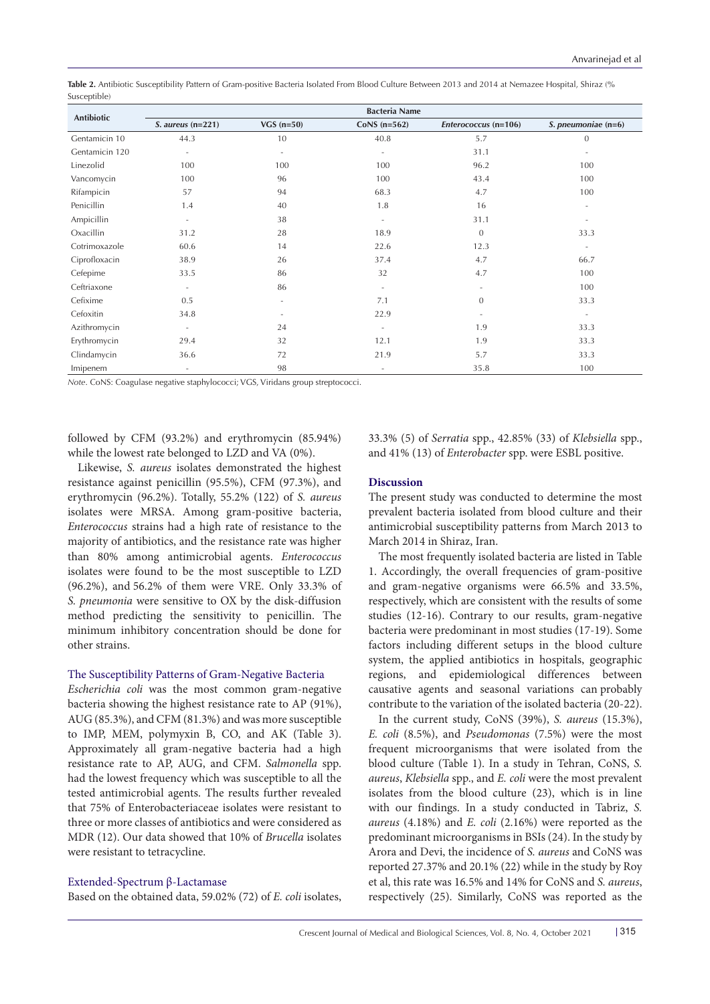**Table 2.** Antibiotic Susceptibility Pattern of Gram-positive Bacteria Isolated From Blood Culture Between 2013 and 2014 at Nemazee Hospital, Shiraz (% Susceptible)

| Antibiotic     | <b>Bacteria Name</b>     |              |                          |                          |                          |  |  |  |
|----------------|--------------------------|--------------|--------------------------|--------------------------|--------------------------|--|--|--|
|                | $S. aureus (n=221)$      | VGS $(n=50)$ | CoNS $(n=562)$           | Enterococcus (n=106)     | S. pneumoniae (n=6)      |  |  |  |
| Gentamicin 10  | 44.3                     | 10           | 40.8                     | 5.7                      | $\theta$                 |  |  |  |
| Gentamicin 120 | $\sim$                   | ٠            | $\overline{\phantom{a}}$ | 31.1                     | $\overline{\phantom{a}}$ |  |  |  |
| Linezolid      | 100                      | 100          | 100                      | 96.2                     | 100                      |  |  |  |
| Vancomycin     | 100                      | 96           | 100                      | 43.4                     | 100                      |  |  |  |
| Rifampicin     | 57                       | 94           | 68.3                     | 4.7                      | 100                      |  |  |  |
| Penicillin     | 1.4                      | 40           | 1.8                      | 16                       | $\bar{a}$                |  |  |  |
| Ampicillin     | $\sim$                   | 38           | $\equiv$                 | 31.1                     | ٠                        |  |  |  |
| Oxacillin      | 31.2                     | 28           | 18.9                     | $\Omega$                 | 33.3                     |  |  |  |
| Cotrimoxazole  | 60.6                     | 14           | 22.6                     | 12.3                     | $\overline{\phantom{a}}$ |  |  |  |
| Ciprofloxacin  | 38.9                     | 26           | 37.4                     | 4.7                      | 66.7                     |  |  |  |
| Cefepime       | 33.5                     | 86           | 32                       | 4.7                      | 100                      |  |  |  |
| Ceftriaxone    | $\overline{\phantom{a}}$ | 86           | $\sim$                   | $\overline{\phantom{a}}$ | 100                      |  |  |  |
| Cefixime       | 0.5                      | ٠            | 7.1                      | $\overline{0}$           | 33.3                     |  |  |  |
| Cefoxitin      | 34.8                     |              | 22.9                     | ٠                        | $\overline{\phantom{a}}$ |  |  |  |
| Azithromycin   | $\overline{\phantom{a}}$ | 24           | $\overline{\phantom{a}}$ | 1.9                      | 33.3                     |  |  |  |
| Erythromycin   | 29.4                     | 32           | 12.1                     | 1.9                      | 33.3                     |  |  |  |
| Clindamycin    | 36.6                     | 72           | 21.9                     | 5.7                      | 33.3                     |  |  |  |
| Imipenem       | $\overline{\phantom{a}}$ | 98           |                          | 35.8                     | 100                      |  |  |  |

*Note*. CoNS: Coagulase negative staphylococci; VGS, Viridans group streptococci.

followed by CFM (93.2%) and erythromycin (85.94%) while the lowest rate belonged to LZD and VA (0%).

Likewise, *S. aureus* isolates demonstrated the highest resistance against penicillin (95.5%), CFM (97.3%), and erythromycin (96.2%). Totally, 55.2% (122) of *S. aureus* isolates were MRSA. Among gram-positive bacteria, *Enterococcus* strains had a high rate of resistance to the majority of antibiotics, and the resistance rate was higher than 80% among antimicrobial agents. *Enterococcus* isolates were found to be the most susceptible to LZD (96.2%), and 56.2% of them were VRE. Only 33.3% of *S. pneumonia* were sensitive to OX by the disk-diffusion method predicting the sensitivity to penicillin. The minimum inhibitory concentration should be done for other strains.

### The Susceptibility Patterns of Gram-Negative Bacteria

*Escherichia coli* was the most common gram-negative bacteria showing the highest resistance rate to AP (91%), AUG (85.3%), and CFM (81.3%) and was more susceptible to IMP, MEM, polymyxin B, CO, and AK (Table 3). Approximately all gram-negative bacteria had a high resistance rate to AP, AUG, and CFM. *Salmonella* spp. had the lowest frequency which was susceptible to all the tested antimicrobial agents. The results further revealed that 75% of Enterobacteriaceae isolates were resistant to three or more classes of antibiotics and were considered as MDR (12). Our data showed that 10% of *Brucella* isolates were resistant to tetracycline.

# Extended-Spectrum β-Lactamase

Based on the obtained data, 59.02% (72) of *E. coli* isolates,

33.3% (5) of *Serratia* spp., 42.85% (33) of *Klebsiella* spp., and 41% (13) of *Enterobacter* spp. were ESBL positive.

# **Discussion**

The present study was conducted to determine the most prevalent bacteria isolated from blood culture and their antimicrobial susceptibility patterns from March 2013 to March 2014 in Shiraz, Iran.

The most frequently isolated bacteria are listed in Table 1. Accordingly, the overall frequencies of gram-positive and gram-negative organisms were 66.5% and 33.5%, respectively, which are consistent with the results of some studies (12-16). Contrary to our results, gram-negative bacteria were predominant in most studies (17-19). Some factors including different setups in the blood culture system, the applied antibiotics in hospitals, geographic regions, and epidemiological differences between causative agents and seasonal variations can probably contribute to the variation of the isolated bacteria (20-22).

In the current study, CoNS (39%), *S. aureus* (15.3%), *E. coli* (8.5%), and *Pseudomonas* (7.5%) were the most frequent microorganisms that were isolated from the blood culture (Table 1). In a study in Tehran, CoNS, *S. aureus*, *Klebsiella* spp., and *E. coli* were the most prevalent isolates from the blood culture (23), which is in line with our findings. In a study conducted in Tabriz, *S. aureus* (4.18%) and *E. coli* (2.16%) were reported as the predominant microorganisms in BSIs (24). In the study by Arora and Devi, the incidence of *S. aureus* and CoNS was reported 27.37% and 20.1% (22) while in the study by Roy et al, this rate was 16.5% and 14% for CoNS and *S. aureus*, respectively (25). Similarly, CoNS was reported as the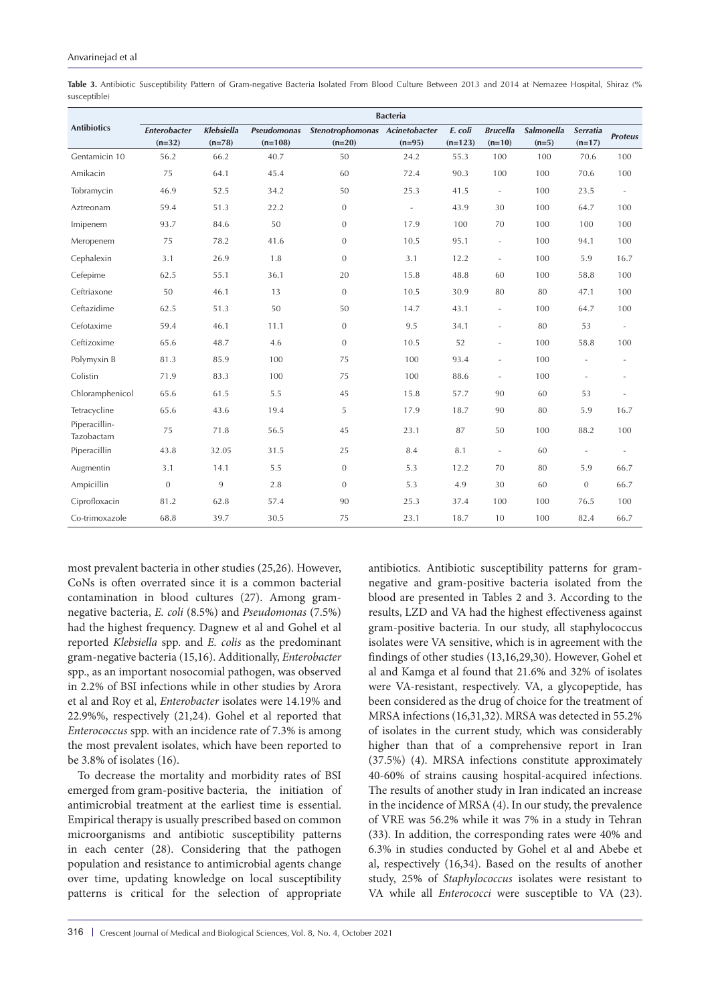**Table 3.** Antibiotic Susceptibility Pattern of Gram-negative Bacteria Isolated From Blood Culture Between 2013 and 2014 at Nemazee Hospital, Shiraz (% susceptible)

|                             | <b>Bacteria</b>          |                               |                                 |                                            |                          |                      |                             |                              |                             |                          |
|-----------------------------|--------------------------|-------------------------------|---------------------------------|--------------------------------------------|--------------------------|----------------------|-----------------------------|------------------------------|-----------------------------|--------------------------|
| <b>Antibiotics</b>          | Enterobacter<br>$(n=32)$ | <b>Klebsiella</b><br>$(n=78)$ | <b>Pseudomonas</b><br>$(n=108)$ | Stenotrophomonas Acinetobacter<br>$(n=20)$ | $(n=95)$                 | E. coli<br>$(n=123)$ | <b>Brucella</b><br>$(n=10)$ | <b>Salmonella</b><br>$(n=5)$ | <b>Serratia</b><br>$(n=17)$ | <b>Proteus</b>           |
| Gentamicin 10               | 56.2                     | 66.2                          | 40.7                            | 50                                         | 24.2                     | 55.3                 | 100                         | 100                          | 70.6                        | 100                      |
| Amikacin                    | 75                       | 64.1                          | 45.4                            | 60                                         | 72.4                     | 90.3                 | 100                         | 100                          | 70.6                        | 100                      |
| Tobramycin                  | 46.9                     | 52.5                          | 34.2                            | 50                                         | 25.3                     | 41.5                 | $\blacksquare$              | 100                          | 23.5                        | ÷,                       |
| Aztreonam                   | 59.4                     | 51.3                          | 22.2                            | $\boldsymbol{0}$                           | $\overline{\phantom{a}}$ | 43.9                 | 30                          | 100                          | 64.7                        | 100                      |
| Imipenem                    | 93.7                     | 84.6                          | 50                              | $\mathbf{0}$                               | 17.9                     | 100                  | 70                          | 100                          | 100                         | 100                      |
| Meropenem                   | 75                       | 78.2                          | 41.6                            | $\mathbf{0}$                               | 10.5                     | 95.1                 | $\blacksquare$              | 100                          | 94.1                        | 100                      |
| Cephalexin                  | 3.1                      | 26.9                          | 1.8                             | $\mathbf{0}$                               | 3.1                      | 12.2                 | $\overline{\phantom{a}}$    | 100                          | 5.9                         | 16.7                     |
| Cefepime                    | 62.5                     | 55.1                          | 36.1                            | 20                                         | 15.8                     | 48.8                 | 60                          | 100                          | 58.8                        | 100                      |
| Ceftriaxone                 | 50                       | 46.1                          | 13                              | $\overline{0}$                             | 10.5                     | 30.9                 | 80                          | 80                           | 47.1                        | 100                      |
| Ceftazidime                 | 62.5                     | 51.3                          | 50                              | 50                                         | 14.7                     | 43.1                 | $\overline{\phantom{a}}$    | 100                          | 64.7                        | 100                      |
| Cefotaxime                  | 59.4                     | 46.1                          | 11.1                            | $\mathbf{0}$                               | 9.5                      | 34.1                 | $\overline{\phantom{a}}$    | 80                           | 53                          | $\overline{\phantom{a}}$ |
| Ceftizoxime                 | 65.6                     | 48.7                          | 4.6                             | $\mathbf{0}$                               | 10.5                     | 52                   | $\overline{\phantom{a}}$    | 100                          | 58.8                        | 100                      |
| Polymyxin B                 | 81.3                     | 85.9                          | 100                             | 75                                         | 100                      | 93.4                 | ÷,                          | 100                          |                             | $\sim$                   |
| Colistin                    | 71.9                     | 83.3                          | 100                             | 75                                         | 100                      | 88.6                 | $\equiv$                    | 100                          | ä,                          | $\overline{\phantom{a}}$ |
| Chloramphenicol             | 65.6                     | 61.5                          | 5.5                             | 45                                         | 15.8                     | 57.7                 | 90                          | 60                           | 53                          | $\sim$                   |
| Tetracycline                | 65.6                     | 43.6                          | 19.4                            | 5                                          | 17.9                     | 18.7                 | 90                          | 80                           | 5.9                         | 16.7                     |
| Piperacillin-<br>Tazobactam | 75                       | 71.8                          | 56.5                            | 45                                         | 23.1                     | 87                   | 50                          | 100                          | 88.2                        | 100                      |
| Piperacillin                | 43.8                     | 32.05                         | 31.5                            | 25                                         | 8.4                      | 8.1                  | $\overline{\phantom{a}}$    | 60                           |                             |                          |
| Augmentin                   | 3.1                      | 14.1                          | 5.5                             | $\mathbf{0}$                               | 5.3                      | 12.2                 | 70                          | 80                           | 5.9                         | 66.7                     |
| Ampicillin                  | $\mathbf{0}$             | 9                             | 2.8                             | $\mathbf{0}$                               | 5.3                      | 4.9                  | 30                          | 60                           | $\mathbf{0}$                | 66.7                     |
| Ciprofloxacin               | 81.2                     | 62.8                          | 57.4                            | 90                                         | 25.3                     | 37.4                 | 100                         | 100                          | 76.5                        | 100                      |
| Co-trimoxazole              | 68.8                     | 39.7                          | 30.5                            | 75                                         | 23.1                     | 18.7                 | 10                          | 100                          | 82.4                        | 66.7                     |

most prevalent bacteria in other studies (25,26). However, CoNs is often overrated since it is a common bacterial contamination in blood cultures (27). Among gramnegative bacteria, *E. coli* (8.5%) and *Pseudomonas* (7.5%) had the highest frequency. Dagnew et al and Gohel et al reported *Klebsiella* spp. and *E. colis* as the predominant gram-negative bacteria (15,16). Additionally, *Enterobacter* spp., as an important nosocomial pathogen, was observed in 2.2% of BSI infections while in other studies by Arora et al and Roy et al, *Enterobacter* isolates were 14.19% and 22.9%%, respectively (21,24). Gohel et al reported that *Enterococcus* spp. with an incidence rate of 7.3% is among the most prevalent isolates, which have been reported to be 3.8% of isolates (16).

To decrease the mortality and morbidity rates of BSI emerged from gram-positive bacteria, the initiation of antimicrobial treatment at the earliest time is essential. Empirical therapy is usually prescribed based on common microorganisms and antibiotic susceptibility patterns in each center (28). Considering that the pathogen population and resistance to antimicrobial agents change over time, updating knowledge on local susceptibility patterns is critical for the selection of appropriate

antibiotics. Antibiotic susceptibility patterns for gramnegative and gram-positive bacteria isolated from the blood are presented in Tables 2 and 3. According to the results, LZD and VA had the highest effectiveness against gram-positive bacteria. In our study, all staphylococcus isolates were VA sensitive, which is in agreement with the findings of other studies (13,16,29,30). However, Gohel et al and Kamga et al found that 21.6% and 32% of isolates were VA-resistant, respectively. VA, a glycopeptide, has been considered as the drug of choice for the treatment of MRSA infections (16,31,32). MRSA was detected in 55.2% of isolates in the current study, which was considerably higher than that of a comprehensive report in Iran (37.5%) (4). MRSA infections constitute approximately 40-60% of strains causing hospital-acquired infections. The results of another study in Iran indicated an increase in the incidence of MRSA (4). In our study, the prevalence of VRE was 56.2% while it was 7% in a study in Tehran (33). In addition, the corresponding rates were 40% and 6.3% in studies conducted by Gohel et al and Abebe et al, respectively (16,34). Based on the results of another study, 25% of *Staphylococcus* isolates were resistant to VA while all *Enterococci* were susceptible to VA (23).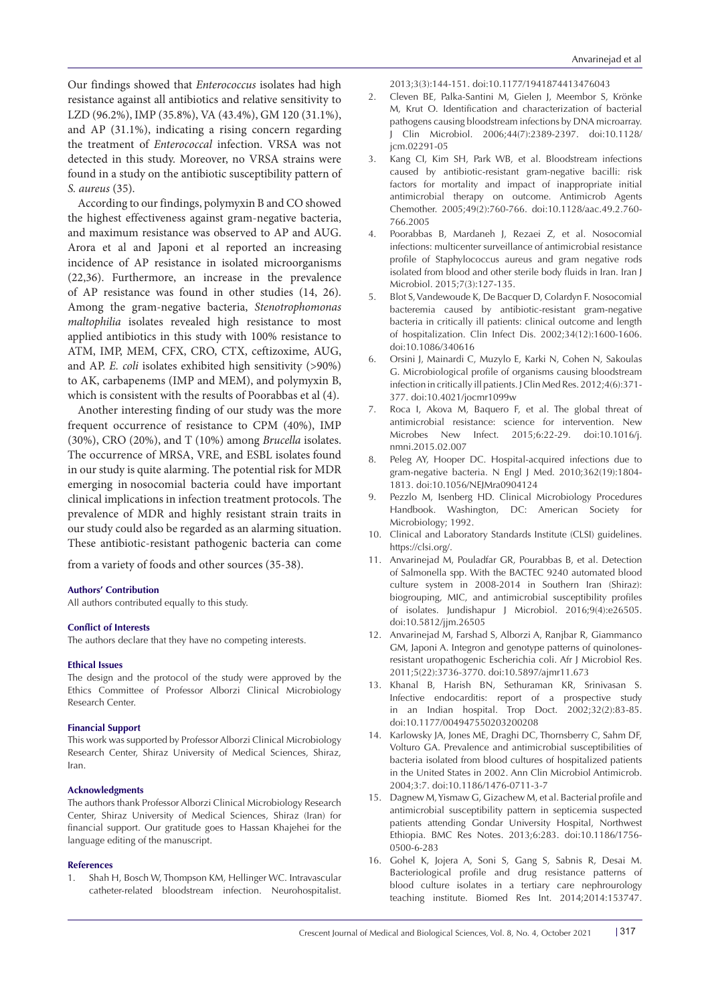Our findings showed that *Enterococcus* isolates had high resistance against all antibiotics and relative sensitivity to LZD (96.2%), IMP (35.8%), VA (43.4%), GM 120 (31.1%), and AP (31.1%), indicating a rising concern regarding the treatment of *Enterococcal* infection. VRSA was not detected in this study. Moreover, no VRSA strains were found in a study on the antibiotic susceptibility pattern of *S. aureus* (35).

According to our findings, polymyxin B and CO showed the highest effectiveness against gram-negative bacteria, and maximum resistance was observed to AP and AUG. Arora et al and Japoni et al reported an increasing incidence of AP resistance in isolated microorganisms (22,36). Furthermore, an increase in the prevalence of AP resistance was found in other studies (14, 26). Among the gram-negative bacteria, *Stenotrophomonas maltophilia* isolates revealed high resistance to most applied antibiotics in this study with 100% resistance to ATM, IMP, MEM, CFX, CRO, CTX, ceftizoxime, AUG, and AP. *E. coli* isolates exhibited high sensitivity (>90%) to AK, carbapenems (IMP and MEM), and polymyxin B, which is consistent with the results of Poorabbas et al (4).

Another interesting finding of our study was the more frequent occurrence of resistance to CPM (40%), IMP (30%), CRO (20%), and T (10%) among *Brucella* isolates. The occurrence of MRSA, VRE, and ESBL isolates found in our study is quite alarming. The potential risk for MDR emerging in nosocomial bacteria could have important clinical implications in infection treatment protocols. The prevalence of MDR and highly resistant strain traits in our study could also be regarded as an alarming situation. These antibiotic-resistant pathogenic bacteria can come

from a variety of foods and other sources (35-38).

#### **Authors' Contribution**

All authors contributed equally to this study.

#### **Conflict of Interests**

The authors declare that they have no competing interests.

#### **Ethical Issues**

The design and the protocol of the study were approved by the Ethics Committee of Professor Alborzi Clinical Microbiology Research Center.

#### **Financial Support**

This work was supported by Professor Alborzi Clinical Microbiology Research Center, Shiraz University of Medical Sciences, Shiraz, Iran.

#### **Acknowledgments**

The authors thank Professor Alborzi Clinical Microbiology Research Center, Shiraz University of Medical Sciences, Shiraz (Iran) for financial support. Our gratitude goes to Hassan Khajehei for the language editing of the manuscript.

#### **References**

1. Shah H, Bosch W, Thompson KM, Hellinger WC. Intravascular catheter-related bloodstream infection. Neurohospitalist. 2013;3(3):144-151. doi:10.1177/1941874413476043

- 2. Cleven BE, Palka-Santini M, Gielen J, Meembor S, Krönke M, Krut O. Identification and characterization of bacterial pathogens causing bloodstream infections by DNA microarray. J Clin Microbiol. 2006;44(7):2389-2397. doi:10.1128/ jcm.02291-05
- 3. Kang CI, Kim SH, Park WB, et al. Bloodstream infections caused by antibiotic-resistant gram-negative bacilli: risk factors for mortality and impact of inappropriate initial antimicrobial therapy on outcome. Antimicrob Agents Chemother. 2005;49(2):760-766. doi:10.1128/aac.49.2.760- 766.2005
- 4. Poorabbas B, Mardaneh J, Rezaei Z, et al. Nosocomial infections: multicenter surveillance of antimicrobial resistance profile of Staphylococcus aureus and gram negative rods isolated from blood and other sterile body fluids in Iran. Iran J Microbiol. 2015;7(3):127-135.
- 5. Blot S, Vandewoude K, De Bacquer D, Colardyn F. Nosocomial bacteremia caused by antibiotic-resistant gram-negative bacteria in critically ill patients: clinical outcome and length of hospitalization. Clin Infect Dis. 2002;34(12):1600-1606. doi:10.1086/340616
- 6. Orsini J, Mainardi C, Muzylo E, Karki N, Cohen N, Sakoulas G. Microbiological profile of organisms causing bloodstream infection in critically ill patients. J Clin Med Res. 2012;4(6):371- 377. doi:10.4021/jocmr1099w
- 7. Roca I, Akova M, Baquero F, et al. The global threat of antimicrobial resistance: science for intervention. New Microbes New Infect. 2015;6:22-29. doi:10.1016/j. nmni.2015.02.007
- 8. Peleg AY, Hooper DC. Hospital-acquired infections due to gram-negative bacteria. N Engl J Med. 2010;362(19):1804- 1813. doi:10.1056/NEJMra0904124
- 9. Pezzlo M, Isenberg HD. Clinical Microbiology Procedures Handbook. Washington, DC: American Society for Microbiology; 1992.
- 10. Clinical and Laboratory Standards Institute (CLSI) guidelines. https://clsi.org/.
- 11. Anvarinejad M, Pouladfar GR, Pourabbas B, et al. Detection of Salmonella spp. With the BACTEC 9240 automated blood culture system in 2008-2014 in Southern Iran (Shiraz): biogrouping, MIC, and antimicrobial susceptibility profiles of isolates. Jundishapur J Microbiol. 2016;9(4):e26505. doi:10.5812/jjm.26505
- 12. Anvarinejad M, Farshad S, Alborzi A, Ranjbar R, Giammanco GM, Japoni A. Integron and genotype patterns of quinolonesresistant uropathogenic Escherichia coli. Afr J Microbiol Res. 2011;5(22):3736-3770. doi:10.5897/ajmr11.673
- 13. Khanal B, Harish BN, Sethuraman KR, Srinivasan S. Infective endocarditis: report of a prospective study in an Indian hospital. Trop Doct. 2002;32(2):83-85. doi:10.1177/004947550203200208
- 14. Karlowsky JA, Jones ME, Draghi DC, Thornsberry C, Sahm DF, Volturo GA. Prevalence and antimicrobial susceptibilities of bacteria isolated from blood cultures of hospitalized patients in the United States in 2002. Ann Clin Microbiol Antimicrob. 2004;3:7. doi:10.1186/1476-0711-3-7
- 15. Dagnew M, Yismaw G, Gizachew M, et al. Bacterial profile and antimicrobial susceptibility pattern in septicemia suspected patients attending Gondar University Hospital, Northwest Ethiopia. BMC Res Notes. 2013;6:283. doi:10.1186/1756- 0500-6-283
- 16. Gohel K, Jojera A, Soni S, Gang S, Sabnis R, Desai M. Bacteriological profile and drug resistance patterns of blood culture isolates in a tertiary care nephrourology teaching institute. Biomed Res Int. 2014;2014:153747.